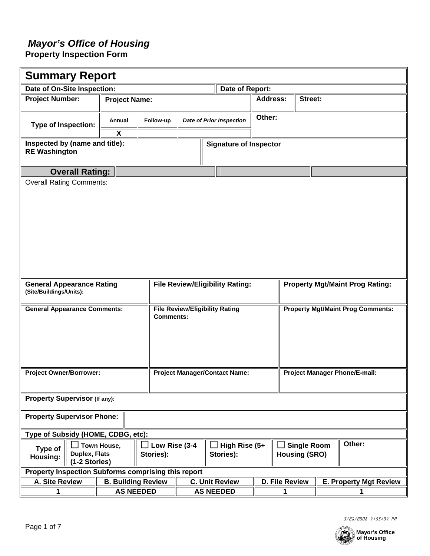## *Mayor's Office of Housing*

**Property Inspection Form** 

| <b>Summary Report</b>                                                |                           |                                                    |                                             |                                 |                                        |                                            |                                          |        |
|----------------------------------------------------------------------|---------------------------|----------------------------------------------------|---------------------------------------------|---------------------------------|----------------------------------------|--------------------------------------------|------------------------------------------|--------|
| Date of On-Site Inspection:                                          |                           | Date of Report:                                    |                                             |                                 |                                        |                                            |                                          |        |
| <b>Project Number:</b>                                               |                           | <b>Project Name:</b>                               |                                             |                                 |                                        | <b>Address:</b><br>Street:                 |                                          |        |
| <b>Type of Inspection:</b>                                           | Annual                    | Follow-up                                          |                                             | <b>Date of Prior Inspection</b> | Other:                                 |                                            |                                          |        |
|                                                                      | X                         |                                                    |                                             |                                 |                                        |                                            |                                          |        |
| Inspected by (name and title):<br><b>RE Washington</b>               |                           |                                                    |                                             | <b>Signature of Inspector</b>   |                                        |                                            |                                          |        |
| <b>Overall Rating:</b>                                               |                           |                                                    |                                             |                                 |                                        |                                            |                                          |        |
|                                                                      |                           |                                                    |                                             |                                 |                                        |                                            |                                          |        |
| <b>General Appearance Rating</b><br>(Site/Buildings/Units):          |                           | <b>File Review/Eligibility Rating:</b>             |                                             |                                 | <b>Property Mgt/Maint Prog Rating:</b> |                                            |                                          |        |
| <b>General Appearance Comments:</b>                                  |                           | <b>File Review/Eligibility Rating</b><br>Comments: |                                             |                                 |                                        |                                            | <b>Property Mgt/Maint Prog Comments:</b> |        |
| <b>Project Owner/Borrower:</b>                                       |                           | <b>Project Manager/Contact Name:</b>               |                                             |                                 | <b>Project Manager Phone/E-mail:</b>   |                                            |                                          |        |
| <b>Property Supervisor (If any):</b>                                 |                           |                                                    |                                             |                                 |                                        |                                            |                                          |        |
| <b>Property Supervisor Phone:</b>                                    |                           |                                                    |                                             |                                 |                                        |                                            |                                          |        |
| Type of Subsidy (HOME, CDBG, etc):                                   |                           |                                                    |                                             |                                 |                                        |                                            |                                          |        |
| Town House,<br>Type of<br>Duplex, Flats<br>Housing:<br>(1-2 Stories) |                           | Stories):                                          | High Rise (5+<br>Low Rise (3-4<br>Stories): |                                 |                                        | <b>Single Room</b><br><b>Housing (SRO)</b> |                                          | Other: |
| <b>Property Inspection Subforms comprising this report</b>           |                           |                                                    |                                             |                                 |                                        |                                            |                                          |        |
| A. Site Review                                                       | <b>B. Building Review</b> | <b>C. Unit Review</b>                              |                                             |                                 | D. File Review                         |                                            | <b>E. Property Mgt Review</b>            |        |
| 1                                                                    | <b>AS NEEDED</b>          | <b>AS NEEDED</b>                                   |                                             |                                 | 1                                      |                                            | 1                                        |        |



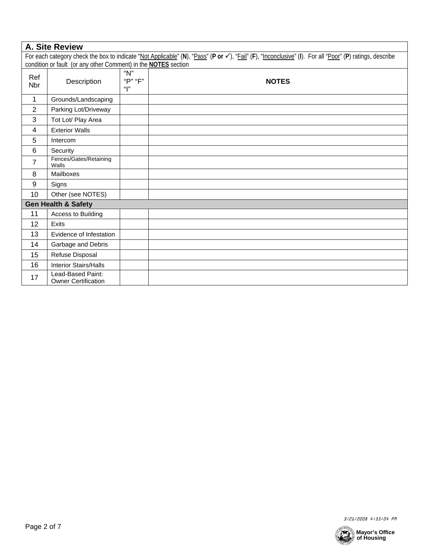| A. Site Review                                                                                                                                                                                                                   |                                                 |                       |              |  |
|----------------------------------------------------------------------------------------------------------------------------------------------------------------------------------------------------------------------------------|-------------------------------------------------|-----------------------|--------------|--|
| For each category check the box to indicate "Not Applicable" (N), "Pass" (P or √), "Fail" (F), "Inconclusive" (I). For all "Poor" (P) ratings, describe<br>condition or fault (or any other Comment) in the <b>NOTES</b> section |                                                 |                       |              |  |
| Ref<br><b>Nbr</b>                                                                                                                                                                                                                | Description                                     | "N"<br>"P" "F"<br>" " | <b>NOTES</b> |  |
| $\mathbf{1}$                                                                                                                                                                                                                     | Grounds/Landscaping                             |                       |              |  |
| $\overline{2}$                                                                                                                                                                                                                   | Parking Lot/Driveway                            |                       |              |  |
| 3                                                                                                                                                                                                                                | Tot Lot/ Play Area                              |                       |              |  |
| 4                                                                                                                                                                                                                                | <b>Exterior Walls</b>                           |                       |              |  |
| 5                                                                                                                                                                                                                                | Intercom                                        |                       |              |  |
| 6                                                                                                                                                                                                                                | Security                                        |                       |              |  |
| $\overline{7}$                                                                                                                                                                                                                   | Fences/Gates/Retaining<br>Walls                 |                       |              |  |
| 8                                                                                                                                                                                                                                | Mailboxes                                       |                       |              |  |
| 9                                                                                                                                                                                                                                | Signs                                           |                       |              |  |
| 10                                                                                                                                                                                                                               | Other (see NOTES)                               |                       |              |  |
| <b>Gen Health &amp; Safety</b>                                                                                                                                                                                                   |                                                 |                       |              |  |
| 11                                                                                                                                                                                                                               | Access to Building                              |                       |              |  |
| 12                                                                                                                                                                                                                               | Exits                                           |                       |              |  |
| 13                                                                                                                                                                                                                               | Evidence of Infestation                         |                       |              |  |
| 14                                                                                                                                                                                                                               | Garbage and Debris                              |                       |              |  |
| 15                                                                                                                                                                                                                               | Refuse Disposal                                 |                       |              |  |
| 16                                                                                                                                                                                                                               | <b>Interior Stairs/Halls</b>                    |                       |              |  |
| 17                                                                                                                                                                                                                               | Lead-Based Paint:<br><b>Owner Certification</b> |                       |              |  |



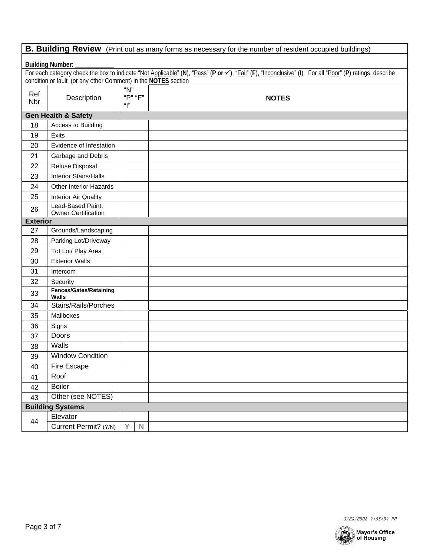| B. Building Review (Print out as many forms as necessary for the number of resident occupied buildings) |                                                                       |                       |           |                                                                                                                                                         |
|---------------------------------------------------------------------------------------------------------|-----------------------------------------------------------------------|-----------------------|-----------|---------------------------------------------------------------------------------------------------------------------------------------------------------|
| <b>Building Number:</b>                                                                                 |                                                                       |                       |           |                                                                                                                                                         |
|                                                                                                         | condition or fault (or any other Comment) in the <b>NOTES</b> section |                       |           | For each category check the box to indicate "Not Applicable" (N), "Pass" (P or √), "Fail" (F), "Inconclusive" (I). For all "Poor" (P) ratings, describe |
| Ref<br>Nbr                                                                                              | Description                                                           | "N"<br>"P" "F"<br>" " |           | <b>NOTES</b>                                                                                                                                            |
|                                                                                                         | <b>Gen Health &amp; Safety</b>                                        |                       |           |                                                                                                                                                         |
| 18                                                                                                      | Access to Building                                                    |                       |           |                                                                                                                                                         |
| 19                                                                                                      | Exits                                                                 |                       |           |                                                                                                                                                         |
| 20                                                                                                      | Evidence of Infestation                                               |                       |           |                                                                                                                                                         |
| 21                                                                                                      | Garbage and Debris                                                    |                       |           |                                                                                                                                                         |
| 22                                                                                                      | Refuse Disposal                                                       |                       |           |                                                                                                                                                         |
| 23                                                                                                      | <b>Interior Stairs/Halls</b>                                          |                       |           |                                                                                                                                                         |
| 24                                                                                                      | <b>Other Interior Hazards</b>                                         |                       |           |                                                                                                                                                         |
| 25                                                                                                      | Interior Air Quality                                                  |                       |           |                                                                                                                                                         |
| 26                                                                                                      | Lead-Based Paint:<br><b>Owner Certification</b>                       |                       |           |                                                                                                                                                         |
| <b>Exterior</b>                                                                                         |                                                                       |                       |           |                                                                                                                                                         |
| 27                                                                                                      | Grounds/Landscaping                                                   |                       |           |                                                                                                                                                         |
| 28                                                                                                      | Parking Lot/Driveway                                                  |                       |           |                                                                                                                                                         |
| 29                                                                                                      | Tot Lot/ Play Area                                                    |                       |           |                                                                                                                                                         |
| 30                                                                                                      | <b>Exterior Walls</b>                                                 |                       |           |                                                                                                                                                         |
| 31                                                                                                      | Intercom                                                              |                       |           |                                                                                                                                                         |
| 32                                                                                                      | Security                                                              |                       |           |                                                                                                                                                         |
| 33                                                                                                      | Fences/Gates/Retaining<br><b>Walls</b>                                |                       |           |                                                                                                                                                         |
| 34                                                                                                      | Stairs/Rails/Porches                                                  |                       |           |                                                                                                                                                         |
| 35                                                                                                      | Mailboxes                                                             |                       |           |                                                                                                                                                         |
| 36                                                                                                      | Signs                                                                 |                       |           |                                                                                                                                                         |
| 37                                                                                                      | Doors                                                                 |                       |           |                                                                                                                                                         |
| 38                                                                                                      | Walls                                                                 |                       |           |                                                                                                                                                         |
| 39                                                                                                      | <b>Window Condition</b>                                               |                       |           |                                                                                                                                                         |
| 40                                                                                                      | Fire Escape                                                           |                       |           |                                                                                                                                                         |
| 41                                                                                                      | Roof                                                                  |                       |           |                                                                                                                                                         |
| 42                                                                                                      | <b>Boiler</b>                                                         |                       |           |                                                                                                                                                         |
| 43                                                                                                      | Other (see NOTES)                                                     |                       |           |                                                                                                                                                         |
|                                                                                                         | <b>Building Systems</b>                                               |                       |           |                                                                                                                                                         |
| 44                                                                                                      | Elevator                                                              |                       |           |                                                                                                                                                         |
|                                                                                                         | Current Permit? (Y/N)                                                 | Y                     | ${\sf N}$ |                                                                                                                                                         |



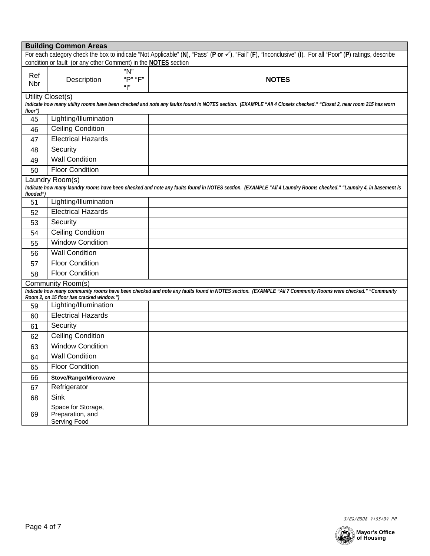| <b>Building Common Areas</b>                                                                                                                                                                           |                                                        |                       |                                                                                                                                                                   |  |
|--------------------------------------------------------------------------------------------------------------------------------------------------------------------------------------------------------|--------------------------------------------------------|-----------------------|-------------------------------------------------------------------------------------------------------------------------------------------------------------------|--|
| For each category check the box to indicate "Not Applicable" (N), "Pass" (P or √), "Fail" (F), "Inconclusive" (I). For all "Poor" (P) ratings, describe                                                |                                                        |                       |                                                                                                                                                                   |  |
| condition or fault (or any other Comment) in the NOTES section                                                                                                                                         |                                                        |                       |                                                                                                                                                                   |  |
| Ref<br><b>Nbr</b>                                                                                                                                                                                      | Description                                            | "N"<br>"P" "F"<br>" " | <b>NOTES</b>                                                                                                                                                      |  |
|                                                                                                                                                                                                        | Utility Closet(s)                                      |                       |                                                                                                                                                                   |  |
| floor")                                                                                                                                                                                                |                                                        |                       | Indicate how many utility rooms have been checked and note any faults found in NOTES section. (EXAMPLE "All 4 Closets checked." "Closet 2, near room 215 has worn |  |
| 45                                                                                                                                                                                                     | Lighting/Illumination                                  |                       |                                                                                                                                                                   |  |
| 46                                                                                                                                                                                                     | <b>Ceiling Condition</b>                               |                       |                                                                                                                                                                   |  |
| 47                                                                                                                                                                                                     | <b>Electrical Hazards</b>                              |                       |                                                                                                                                                                   |  |
| 48                                                                                                                                                                                                     | Security                                               |                       |                                                                                                                                                                   |  |
| 49                                                                                                                                                                                                     | <b>Wall Condition</b>                                  |                       |                                                                                                                                                                   |  |
| 50                                                                                                                                                                                                     | <b>Floor Condition</b>                                 |                       |                                                                                                                                                                   |  |
|                                                                                                                                                                                                        | Laundry Room(s)                                        |                       |                                                                                                                                                                   |  |
| flooded")                                                                                                                                                                                              |                                                        |                       | Indicate how many laundry rooms have been checked and note any faults found in NOTES section. (EXAMPLE "All 4 Laundry Rooms checked." "Laundry 4, in basement is  |  |
| 51                                                                                                                                                                                                     | Lighting/Illumination                                  |                       |                                                                                                                                                                   |  |
| 52                                                                                                                                                                                                     | <b>Electrical Hazards</b>                              |                       |                                                                                                                                                                   |  |
| 53                                                                                                                                                                                                     | Security                                               |                       |                                                                                                                                                                   |  |
| 54                                                                                                                                                                                                     | <b>Ceiling Condition</b>                               |                       |                                                                                                                                                                   |  |
| 55                                                                                                                                                                                                     | <b>Window Condition</b>                                |                       |                                                                                                                                                                   |  |
| 56                                                                                                                                                                                                     | <b>Wall Condition</b>                                  |                       |                                                                                                                                                                   |  |
| 57                                                                                                                                                                                                     | <b>Floor Condition</b>                                 |                       |                                                                                                                                                                   |  |
| 58                                                                                                                                                                                                     | <b>Floor Condition</b>                                 |                       |                                                                                                                                                                   |  |
|                                                                                                                                                                                                        | Community Room(s)                                      |                       |                                                                                                                                                                   |  |
| Indicate how many community rooms have been checked and note any faults found in NOTES section. (EXAMPLE "All 7 Community Rooms were checked." "Community<br>Room 2, on 15 floor has cracked window.") |                                                        |                       |                                                                                                                                                                   |  |
| 59                                                                                                                                                                                                     | Lighting/Illumination                                  |                       |                                                                                                                                                                   |  |
| 60                                                                                                                                                                                                     | <b>Electrical Hazards</b>                              |                       |                                                                                                                                                                   |  |
| 61                                                                                                                                                                                                     | Security                                               |                       |                                                                                                                                                                   |  |
| 62                                                                                                                                                                                                     | <b>Ceiling Condition</b>                               |                       |                                                                                                                                                                   |  |
| 63                                                                                                                                                                                                     | <b>Window Condition</b>                                |                       |                                                                                                                                                                   |  |
| 64                                                                                                                                                                                                     | <b>Wall Condition</b>                                  |                       |                                                                                                                                                                   |  |
| 65                                                                                                                                                                                                     | <b>Floor Condition</b>                                 |                       |                                                                                                                                                                   |  |
| 66                                                                                                                                                                                                     | Stove/Range/Microwave                                  |                       |                                                                                                                                                                   |  |
| 67                                                                                                                                                                                                     | Refrigerator                                           |                       |                                                                                                                                                                   |  |
| 68                                                                                                                                                                                                     | <b>Sink</b>                                            |                       |                                                                                                                                                                   |  |
| 69                                                                                                                                                                                                     | Space for Storage,<br>Preparation, and<br>Serving Food |                       |                                                                                                                                                                   |  |

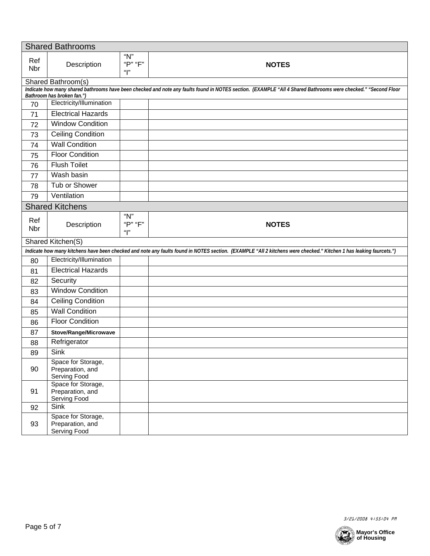| <b>Shared Bathrooms</b> |                                                        |                       |                                                                                                                                                                    |  |
|-------------------------|--------------------------------------------------------|-----------------------|--------------------------------------------------------------------------------------------------------------------------------------------------------------------|--|
| Ref<br>Nbr              | Description                                            | "N"<br>"P" "F"<br>"l" | <b>NOTES</b>                                                                                                                                                       |  |
|                         | Shared Bathroom(s)                                     |                       |                                                                                                                                                                    |  |
|                         | Bathroom has broken fan.")                             |                       | Indicate how many shared bathrooms have been checked and note any faults found in NOTES section. (EXAMPLE "All 4 Shared Bathrooms were checked." "Second Floor     |  |
| 70                      | Electricity/Illumination                               |                       |                                                                                                                                                                    |  |
| 71                      | <b>Electrical Hazards</b>                              |                       |                                                                                                                                                                    |  |
| 72                      | <b>Window Condition</b>                                |                       |                                                                                                                                                                    |  |
| 73                      | <b>Ceiling Condition</b>                               |                       |                                                                                                                                                                    |  |
| 74                      | <b>Wall Condition</b>                                  |                       |                                                                                                                                                                    |  |
| 75                      | <b>Floor Condition</b>                                 |                       |                                                                                                                                                                    |  |
| 76                      | <b>Flush Toilet</b>                                    |                       |                                                                                                                                                                    |  |
| 77                      | Wash basin                                             |                       |                                                                                                                                                                    |  |
| 78                      | Tub or Shower                                          |                       |                                                                                                                                                                    |  |
| 79                      | Ventilation                                            |                       |                                                                                                                                                                    |  |
|                         | <b>Shared Kitchens</b>                                 |                       |                                                                                                                                                                    |  |
| Ref<br><b>Nbr</b>       | Description                                            | "N"<br>"P" "F"<br>"l" | <b>NOTES</b>                                                                                                                                                       |  |
|                         | Shared Kitchen(S)                                      |                       |                                                                                                                                                                    |  |
|                         |                                                        |                       | Indicate how many kitchens have been checked and note any faults found in NOTES section. (EXAMPLE "All 2 kitchens were checked." Kitchen 1 has leaking faurcets.") |  |
| 80                      | Electricity/Illumination                               |                       |                                                                                                                                                                    |  |
| 81                      | <b>Electrical Hazards</b>                              |                       |                                                                                                                                                                    |  |
| 82                      | Security                                               |                       |                                                                                                                                                                    |  |
| 83                      | <b>Window Condition</b>                                |                       |                                                                                                                                                                    |  |
| 84                      | <b>Ceiling Condition</b>                               |                       |                                                                                                                                                                    |  |
| 85                      | <b>Wall Condition</b>                                  |                       |                                                                                                                                                                    |  |
| 86                      | <b>Floor Condition</b>                                 |                       |                                                                                                                                                                    |  |
| 87                      | Stove/Range/Microwave                                  |                       |                                                                                                                                                                    |  |
| 88                      | Refrigerator                                           |                       |                                                                                                                                                                    |  |
| 89                      | Sink                                                   |                       |                                                                                                                                                                    |  |
| 90                      | Space for Storage,<br>Preparation, and<br>Serving Food |                       |                                                                                                                                                                    |  |
| 91                      | Space for Storage,<br>Preparation, and<br>Serving Food |                       |                                                                                                                                                                    |  |
| 92                      | Sink                                                   |                       |                                                                                                                                                                    |  |
| 93                      | Space for Storage,<br>Preparation, and<br>Serving Food |                       |                                                                                                                                                                    |  |



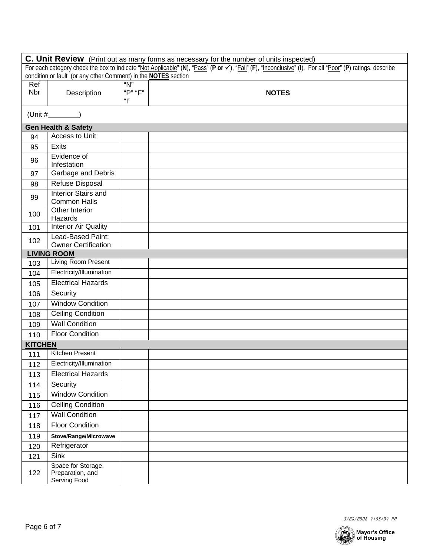| C. Unit Review (Print out as many forms as necessary for the number of units inspected)                                                                                                                                   |                                                        |                |              |  |
|---------------------------------------------------------------------------------------------------------------------------------------------------------------------------------------------------------------------------|--------------------------------------------------------|----------------|--------------|--|
| For each category check the box to indicate "Not Applicable" (N), "Pass" (P or √), "Fail" (F), "Inconclusive" (I). For all "Poor" (P) ratings, describe<br>condition or fault (or any other Comment) in the NOTES section |                                                        |                |              |  |
| Ref                                                                                                                                                                                                                       |                                                        | "N"            |              |  |
| <b>Nbr</b>                                                                                                                                                                                                                | Description                                            | "P" "F"<br>" " | <b>NOTES</b> |  |
| (Unit $#$                                                                                                                                                                                                                 |                                                        |                |              |  |
|                                                                                                                                                                                                                           | <b>Gen Health &amp; Safety</b>                         |                |              |  |
| 94                                                                                                                                                                                                                        | Access to Unit                                         |                |              |  |
| 95                                                                                                                                                                                                                        | <b>Exits</b>                                           |                |              |  |
| 96                                                                                                                                                                                                                        | Evidence of<br>Infestation                             |                |              |  |
| 97                                                                                                                                                                                                                        | Garbage and Debris                                     |                |              |  |
| 98                                                                                                                                                                                                                        | Refuse Disposal                                        |                |              |  |
| 99                                                                                                                                                                                                                        | <b>Interior Stairs and</b><br><b>Common Halls</b>      |                |              |  |
| 100                                                                                                                                                                                                                       | Other Interior<br>Hazards                              |                |              |  |
| 101                                                                                                                                                                                                                       | <b>Interior Air Quality</b>                            |                |              |  |
| 102                                                                                                                                                                                                                       | Lead-Based Paint:<br><b>Owner Certification</b>        |                |              |  |
|                                                                                                                                                                                                                           | <b>LIVING ROOM</b>                                     |                |              |  |
| 103                                                                                                                                                                                                                       | Living Room Present                                    |                |              |  |
| 104                                                                                                                                                                                                                       | Electricity/Illumination                               |                |              |  |
| 105                                                                                                                                                                                                                       | <b>Electrical Hazards</b>                              |                |              |  |
| 106                                                                                                                                                                                                                       | Security                                               |                |              |  |
| 107                                                                                                                                                                                                                       | <b>Window Condition</b>                                |                |              |  |
| 108                                                                                                                                                                                                                       | <b>Ceiling Condition</b>                               |                |              |  |
| 109                                                                                                                                                                                                                       | <b>Wall Condition</b>                                  |                |              |  |
| 110                                                                                                                                                                                                                       | <b>Floor Condition</b>                                 |                |              |  |
| <b>KITCHEN</b>                                                                                                                                                                                                            |                                                        |                |              |  |
| 111                                                                                                                                                                                                                       | <b>Kitchen Present</b>                                 |                |              |  |
| 112                                                                                                                                                                                                                       | Electricity/Illumination                               |                |              |  |
| 113                                                                                                                                                                                                                       | <b>Electrical Hazards</b>                              |                |              |  |
| 114                                                                                                                                                                                                                       | Security                                               |                |              |  |
| 115                                                                                                                                                                                                                       | <b>Window Condition</b>                                |                |              |  |
| 116                                                                                                                                                                                                                       | <b>Ceiling Condition</b>                               |                |              |  |
| 117                                                                                                                                                                                                                       | <b>Wall Condition</b>                                  |                |              |  |
| 118                                                                                                                                                                                                                       | <b>Floor Condition</b>                                 |                |              |  |
| 119                                                                                                                                                                                                                       | Stove/Range/Microwave                                  |                |              |  |
| 120                                                                                                                                                                                                                       | Refrigerator                                           |                |              |  |
| 121                                                                                                                                                                                                                       | Sink                                                   |                |              |  |
| 122                                                                                                                                                                                                                       | Space for Storage,<br>Preparation, and<br>Serving Food |                |              |  |